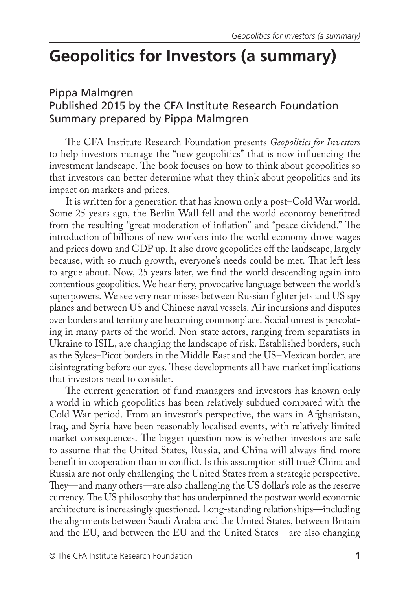## **Geopolitics for Investors (a summary)**

## Pippa Malmgren Published 2015 by the CFA Institute Research Foundation Summary prepared by Pippa Malmgren

The CFA Institute Research Foundation presents *Geopolitics for Investors* to help investors manage the "new geopolitics" that is now influencing the investment landscape. The book focuses on how to think about geopolitics so that investors can better determine what they think about geopolitics and its impact on markets and prices.

It is written for a generation that has known only a post–Cold War world. Some 25 years ago, the Berlin Wall fell and the world economy benefitted from the resulting "great moderation of inflation" and "peace dividend." The introduction of billions of new workers into the world economy drove wages and prices down and GDP up. It also drove geopolitics off the landscape, largely because, with so much growth, everyone's needs could be met. That left less to argue about. Now, 25 years later, we find the world descending again into contentious geopolitics. We hear fiery, provocative language between the world's superpowers. We see very near misses between Russian fighter jets and US spy planes and between US and Chinese naval vessels. Air incursions and disputes over borders and territory are becoming commonplace. Social unrest is percolating in many parts of the world. Non-state actors, ranging from separatists in Ukraine to ISIL, are changing the landscape of risk. Established borders, such as the Sykes–Picot borders in the Middle East and the US–Mexican border, are disintegrating before our eyes. These developments all have market implications that investors need to consider.

The current generation of fund managers and investors has known only a world in which geopolitics has been relatively subdued compared with the Cold War period. From an investor's perspective, the wars in Afghanistan, Iraq, and Syria have been reasonably localised events, with relatively limited market consequences. The bigger question now is whether investors are safe to assume that the United States, Russia, and China will always find more benefit in cooperation than in conflict. Is this assumption still true? China and Russia are not only challenging the United States from a strategic perspective. They—and many others—are also challenging the US dollar's role as the reserve currency. The US philosophy that has underpinned the postwar world economic architecture is increasingly questioned. Long-standing relationships—including the alignments between Saudi Arabia and the United States, between Britain and the EU, and between the EU and the United States—are also changing